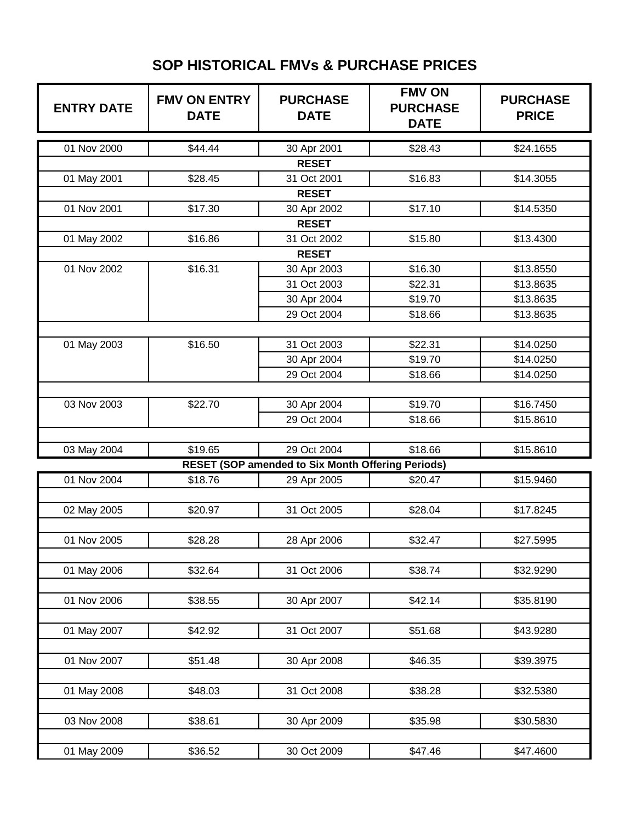## **SOP HISTORICAL FMVs & PURCHASE PRICES**

| <b>ENTRY DATE</b> | <b>FMV ON ENTRY</b><br><b>DATE</b> | <b>PURCHASE</b><br><b>DATE</b>                           | <b>FMV ON</b><br><b>PURCHASE</b><br><b>DATE</b> | <b>PURCHASE</b><br><b>PRICE</b> |  |  |
|-------------------|------------------------------------|----------------------------------------------------------|-------------------------------------------------|---------------------------------|--|--|
| 01 Nov 2000       | \$44.44                            | 30 Apr 2001                                              | \$28.43                                         | \$24.1655                       |  |  |
|                   |                                    | <b>RESET</b>                                             |                                                 |                                 |  |  |
| 01 May 2001       | \$28.45                            | 31 Oct 2001                                              | \$16.83                                         | \$14.3055                       |  |  |
|                   |                                    | <b>RESET</b>                                             |                                                 |                                 |  |  |
| 01 Nov 2001       | \$17.30                            | 30 Apr 2002                                              | \$17.10                                         | \$14.5350                       |  |  |
| <b>RESET</b>      |                                    |                                                          |                                                 |                                 |  |  |
| 01 May 2002       | \$16.86                            | 31 Oct 2002                                              | \$15.80                                         | \$13.4300                       |  |  |
| <b>RESET</b>      |                                    |                                                          |                                                 |                                 |  |  |
| 01 Nov 2002       | \$16.31                            | 30 Apr 2003                                              | \$16.30                                         | \$13.8550                       |  |  |
|                   |                                    | 31 Oct 2003                                              | \$22.31                                         | \$13.8635                       |  |  |
|                   |                                    | 30 Apr 2004                                              | \$19.70                                         | \$13.8635                       |  |  |
|                   |                                    | 29 Oct 2004                                              | \$18.66                                         | \$13.8635                       |  |  |
|                   |                                    |                                                          |                                                 |                                 |  |  |
| 01 May 2003       | \$16.50                            | 31 Oct 2003                                              | \$22.31                                         | \$14.0250                       |  |  |
|                   |                                    | 30 Apr 2004                                              | \$19.70                                         | \$14.0250                       |  |  |
|                   |                                    | 29 Oct 2004                                              | \$18.66                                         | \$14.0250                       |  |  |
|                   |                                    |                                                          |                                                 |                                 |  |  |
| 03 Nov 2003       | \$22.70                            | 30 Apr 2004                                              | \$19.70                                         | \$16.7450                       |  |  |
|                   |                                    | 29 Oct 2004                                              | \$18.66                                         | \$15.8610                       |  |  |
|                   |                                    |                                                          |                                                 |                                 |  |  |
| 03 May 2004       | \$19.65                            | 29 Oct 2004                                              | \$18.66                                         | \$15.8610                       |  |  |
|                   |                                    | <b>RESET (SOP amended to Six Month Offering Periods)</b> |                                                 |                                 |  |  |
| 01 Nov 2004       | \$18.76                            | 29 Apr 2005                                              | \$20.47                                         | \$15.9460                       |  |  |
|                   |                                    |                                                          |                                                 |                                 |  |  |
| 02 May 2005       | \$20.97                            | 31 Oct 2005                                              | \$28.04                                         | \$17.8245                       |  |  |
|                   |                                    |                                                          |                                                 |                                 |  |  |
| 01 Nov 2005       | \$28.28                            | 28 Apr 2006                                              | \$32.47                                         | \$27.5995                       |  |  |
|                   |                                    |                                                          |                                                 |                                 |  |  |
| 01 May 2006       | \$32.64                            | 31 Oct 2006                                              | \$38.74                                         | \$32.9290                       |  |  |
|                   |                                    |                                                          |                                                 |                                 |  |  |
| 01 Nov 2006       | \$38.55                            | 30 Apr 2007                                              | \$42.14                                         | \$35.8190                       |  |  |
|                   |                                    |                                                          |                                                 |                                 |  |  |
| 01 May 2007       | \$42.92                            | 31 Oct 2007                                              | \$51.68                                         | \$43.9280                       |  |  |
|                   |                                    |                                                          |                                                 |                                 |  |  |
| 01 Nov 2007       | \$51.48                            | 30 Apr 2008                                              | \$46.35                                         | \$39.3975                       |  |  |
|                   |                                    |                                                          |                                                 |                                 |  |  |
| 01 May 2008       | \$48.03                            | 31 Oct 2008                                              | \$38.28                                         | \$32.5380                       |  |  |
|                   |                                    |                                                          |                                                 |                                 |  |  |
| 03 Nov 2008       | \$38.61                            | 30 Apr 2009                                              | \$35.98                                         | \$30.5830                       |  |  |
|                   |                                    |                                                          |                                                 |                                 |  |  |
| 01 May 2009       | \$36.52                            | 30 Oct 2009                                              | \$47.46                                         | \$47.4600                       |  |  |